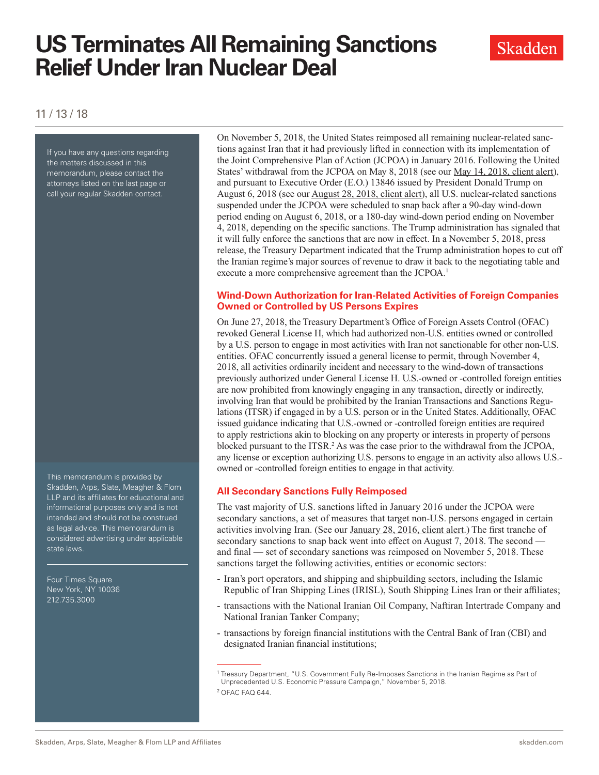# **US Terminates All Remaining Sanctions Relief Under Iran Nuclear Deal**



### 11 / 13 / 18

If you have any questions regarding the matters discussed in this memorandum, please contact the attorneys listed on the last page or call your regular Skadden contact.

This memorandum is provided by Skadden, Arps, Slate, Meagher & Flom LLP and its affiliates for educational and informational purposes only and is not intended and should not be construed as legal advice. This memorandum is considered advertising under applicable state laws.

Four Times Square New York, NY 10036 212.735.3000

On November 5, 2018, the United States reimposed all remaining nuclear-related sanctions against Iran that it had previously lifted in connection with its implementation of the Joint Comprehensive Plan of Action (JCPOA) in January 2016. Following the United States' withdrawal from the JCPOA on May 8, 2018 (see our [May 14, 2018, client alert\)](https://www.skadden.com/insights/publications/2018/05/us-withdrawal-from-iran-nuclear-deal), and pursuant to Executive Order (E.O.) 13846 issued by President Donald Trump on August 6, 2018 (see our [August 28, 2018, client alert](https://www.skadden.com/insights/publications/2018/08/us-implements-first-round-of-iran-sanctions)), all U.S. nuclear-related sanctions suspended under the JCPOA were scheduled to snap back after a 90-day wind-down period ending on August 6, 2018, or a 180-day wind-down period ending on November 4, 2018, depending on the specific sanctions. The Trump administration has signaled that it will fully enforce the sanctions that are now in effect. In a November 5, 2018, press release, the Treasury Department indicated that the Trump administration hopes to cut off the Iranian regime's major sources of revenue to draw it back to the negotiating table and execute a more comprehensive agreement than the JCPOA.<sup>1</sup>

#### **Wind-Down Authorization for Iran-Related Activities of Foreign Companies Owned or Controlled by US Persons Expires**

On June 27, 2018, the Treasury Department's Office of Foreign Assets Control (OFAC) revoked General License H, which had authorized non-U.S. entities owned or controlled by a U.S. person to engage in most activities with Iran not sanctionable for other non-U.S. entities. OFAC concurrently issued a general license to permit, through November 4, 2018, all activities ordinarily incident and necessary to the wind-down of transactions previously authorized under General License H. U.S.-owned or -controlled foreign entities are now prohibited from knowingly engaging in any transaction, directly or indirectly, involving Iran that would be prohibited by the Iranian Transactions and Sanctions Regulations (ITSR) if engaged in by a U.S. person or in the United States. Additionally, OFAC issued guidance indicating that U.S.-owned or -controlled foreign entities are required to apply restrictions akin to blocking on any property or interests in property of persons blocked pursuant to the ITSR.<sup>2</sup> As was the case prior to the withdrawal from the JCPOA, any license or exception authorizing U.S. persons to engage in an activity also allows U.S. owned or -controlled foreign entities to engage in that activity.

#### **All Secondary Sanctions Fully Reimposed**

The vast majority of U.S. sanctions lifted in January 2016 under the JCPOA were secondary sanctions, a set of measures that target non-U.S. persons engaged in certain activities involving Iran. (See our [January 28, 2016, client alert](https://www.skadden.com/insights/publications/2016/01/implementation-day--key-aspects-of-us-and-eu-imple).) The first tranche of secondary sanctions to snap back went into effect on August 7, 2018. The second and final — set of secondary sanctions was reimposed on November 5, 2018. These sanctions target the following activities, entities or economic sectors:

- Iran's port operators, and shipping and shipbuilding sectors, including the Islamic Republic of Iran Shipping Lines (IRISL), South Shipping Lines Iran or their affiliates;
- transactions with the National Iranian Oil Company, Naftiran Intertrade Company and National Iranian Tanker Company;
- transactions by foreign financial institutions with the Central Bank of Iran (CBI) and designated Iranian financial institutions;

<sup>1</sup> Treasury Department, "U.S. Government Fully Re-Imposes Sanctions in the Iranian Regime as Part of Unprecedented U.S. Economic Pressure Campaign," November 5, 2018.

<sup>2</sup> OFAC FAQ 644.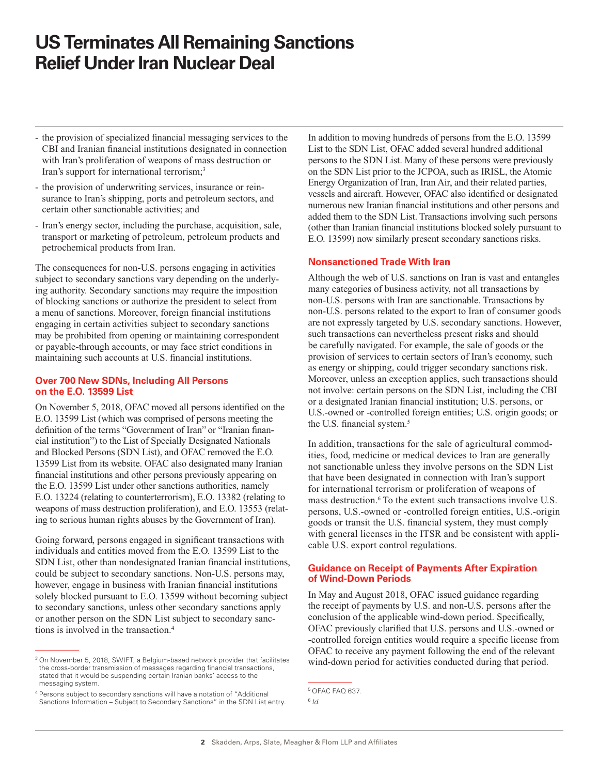## **US Terminates All Remaining Sanctions Relief Under Iran Nuclear Deal**

- the provision of specialized financial messaging services to the CBI and Iranian financial institutions designated in connection with Iran's proliferation of weapons of mass destruction or Iran's support for international terrorism;<sup>3</sup>
- the provision of underwriting services, insurance or reinsurance to Iran's shipping, ports and petroleum sectors, and certain other sanctionable activities; and
- Iran's energy sector, including the purchase, acquisition, sale, transport or marketing of petroleum, petroleum products and petrochemical products from Iran.

The consequences for non-U.S. persons engaging in activities subject to secondary sanctions vary depending on the underlying authority. Secondary sanctions may require the imposition of blocking sanctions or authorize the president to select from a menu of sanctions. Moreover, foreign financial institutions engaging in certain activities subject to secondary sanctions may be prohibited from opening or maintaining correspondent or payable-through accounts, or may face strict conditions in maintaining such accounts at U.S. financial institutions.

#### **Over 700 New SDNs, Including All Persons on the E.O. 13599 List**

On November 5, 2018, OFAC moved all persons identified on the E.O. 13599 List (which was comprised of persons meeting the definition of the terms "Government of Iran" or "Iranian financial institution") to the List of Specially Designated Nationals and Blocked Persons (SDN List), and OFAC removed the E.O. 13599 List from its website. OFAC also designated many Iranian financial institutions and other persons previously appearing on the E.O. 13599 List under other sanctions authorities, namely E.O. 13224 (relating to counterterrorism), E.O. 13382 (relating to weapons of mass destruction proliferation), and E.O. 13553 (relating to serious human rights abuses by the Government of Iran).

Going forward, persons engaged in significant transactions with individuals and entities moved from the E.O. 13599 List to the SDN List, other than nondesignated Iranian financial institutions, could be subject to secondary sanctions. Non-U.S. persons may, however, engage in business with Iranian financial institutions solely blocked pursuant to E.O. 13599 without becoming subject to secondary sanctions, unless other secondary sanctions apply or another person on the SDN List subject to secondary sanctions is involved in the transaction.4

In addition to moving hundreds of persons from the E.O. 13599 List to the SDN List, OFAC added several hundred additional persons to the SDN List. Many of these persons were previously on the SDN List prior to the JCPOA, such as IRISL, the Atomic Energy Organization of Iran, Iran Air, and their related parties, vessels and aircraft. However, OFAC also identified or designated numerous new Iranian financial institutions and other persons and added them to the SDN List. Transactions involving such persons (other than Iranian financial institutions blocked solely pursuant to E.O. 13599) now similarly present secondary sanctions risks.

#### **Nonsanctioned Trade With Iran**

Although the web of U.S. sanctions on Iran is vast and entangles many categories of business activity, not all transactions by non-U.S. persons with Iran are sanctionable. Transactions by non-U.S. persons related to the export to Iran of consumer goods are not expressly targeted by U.S. secondary sanctions. However, such transactions can nevertheless present risks and should be carefully navigated. For example, the sale of goods or the provision of services to certain sectors of Iran's economy, such as energy or shipping, could trigger secondary sanctions risk. Moreover, unless an exception applies, such transactions should not involve: certain persons on the SDN List, including the CBI or a designated Iranian financial institution; U.S. persons, or U.S.-owned or -controlled foreign entities; U.S. origin goods; or the U.S. financial system.<sup>5</sup>

In addition, transactions for the sale of agricultural commodities, food, medicine or medical devices to Iran are generally not sanctionable unless they involve persons on the SDN List that have been designated in connection with Iran's support for international terrorism or proliferation of weapons of mass destruction.<sup>6</sup> To the extent such transactions involve U.S. persons, U.S.-owned or -controlled foreign entities, U.S.-origin goods or transit the U.S. financial system, they must comply with general licenses in the ITSR and be consistent with applicable U.S. export control regulations.

#### **Guidance on Receipt of Payments After Expiration of Wind-Down Periods**

In May and August 2018, OFAC issued guidance regarding the receipt of payments by U.S. and non-U.S. persons after the conclusion of the applicable wind-down period. Specifically, OFAC previously clarified that U.S. persons and U.S.-owned or -controlled foreign entities would require a specific license from OFAC to receive any payment following the end of the relevant wind-down period for activities conducted during that period.

<sup>&</sup>lt;sup>3</sup> On November 5, 2018, SWIFT, a Belgium-based network provider that facilitates the cross-border transmission of messages regarding financial transactions, stated that it would be suspending certain Iranian banks' access to the messaging system.

<sup>4</sup> Persons subject to secondary sanctions will have a notation of "Additional Sanctions Information – Subject to Secondary Sanctions" in the SDN List entry.

<sup>5</sup> OFAC FAQ 637.

<sup>6</sup> *Id.*